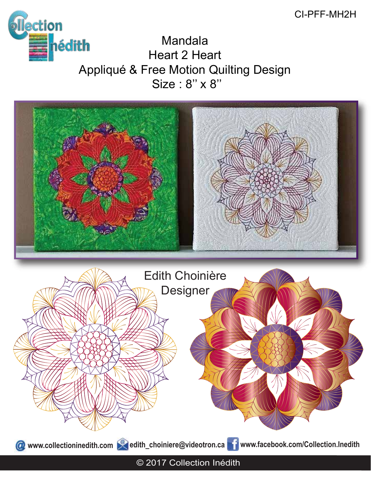# CI-PFF-MH2H



Mandala Heart 2 Heart Appliqué & Free Motion Quilting Design Size : 8" x 8"

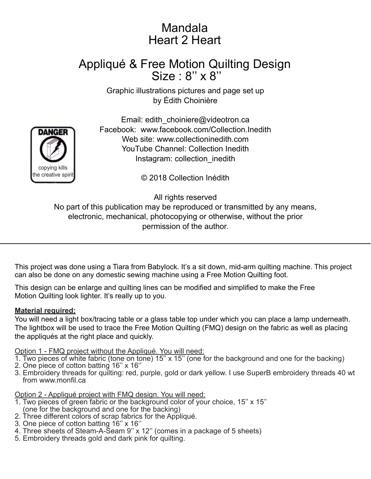# Mandala Heart 2 Heart

# Appliqué & Free Motion Quilting Design Size : 8" x 8"

Graphic illustrations pictures and page set up by Édith Choinière



Email: edith\_choiniere@videotron.ca Facebook: www.facebook.com/Collection.Inedith Web site: www.collectioninedith.com YouTube Channel: Collection Inedith Instagram: collection\_inedith

© 2018 Collection Inédith

All rights reserved

No part of this publication may be reproduced or transmitted by any means, electronic, mechanical, photocopying or otherwise, without the prior permission of the author.

This project was done using a Tiara from Babylock. It's a sit down, mid-arm quilting machine. This project can also be done on any domestic sewing machine using a Free Motion Quilting foot.

This design can be enlarge and quilting lines can be modified and simplified to make the Free Motion Quilting look lighter. It's really up to you.

### **Material required:**

You will need a light box/tracing table or a glass table top under which you can place a lamp underneath. The lightbox will be used to trace the Free Motion Quilting (FMQ) design on the fabric as well as placing the appliqués at the right place and quickly.

Option 1 - FMQ project without the Appliqué. You will need:

- 1. Two pieces of white fabric (tone on tone)  $15$ " x  $15$ " (one for the background and one for the backing)
- 2. One piece of cotton batting 16'' x 16''
- 3. Embroidery threads for quilting: red, purple, gold or dark yellow. I use SuperB embroidery threads 40 wt from www.monfil.ca

Option 2 - Appliqué project with FMQ design. You will need:

- 1. Two pieces of green fabric or the background color of your choice, 15'' x 15'' (one for the background and one for the backing)
- 2. Three different colors of scrap fabrics for the Appliqué.
- 3. One piece of cotton batting 16'' x 16''
- 4. Three sheets of Steam-A-Seam 9'' x 12'' (comes in a package of 5 sheets)
- 5. Embroidery threads gold and dark pink for quilting.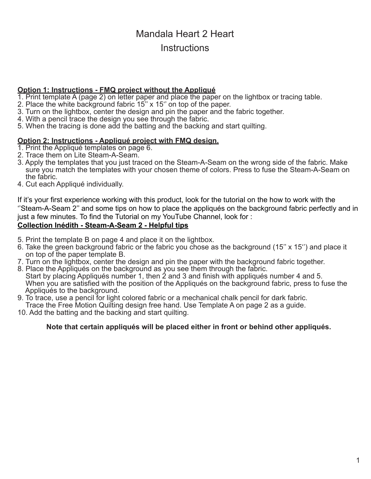# Mandala Heart 2 Heart **Instructions**

#### **Option 1: Instructions - FMQ project without the Appliqué**

- 1. Print template A (page 2) on letter paper and place the paper on the lightbox or tracing table.
- 2. Place the white background fabric 15'' x 15'' on top of the paper.
- 3. Turn on the lightbox, center the design and pin the paper and the fabric together.
- 4. With a pencil trace the design you see through the fabric.
- 5. When the tracing is done add the batting and the backing and start quilting.

### **Option 2: Instructions - Appliqué project with FMQ design.**

- 1. Print the Appliqué templates on page 6.
- 2. Trace them on Lite Steam-A-Seam.
- 3. Apply the templates that you just traced on the Steam-A-Seam on the wrong side of the fabric. Make sure you match the templates with your chosen theme of colors. Press to fuse the Steam-A-Seam on the fabric.
- 4. Cut each Appliqué individually.

If it's your first experience working with this product, look for the tutorial on the how to work with the ''Steam-A-Seam 2'' and some tips on how to place the appliqués on the background fabric perfectly and in just a few minutes. To find the Tutorial on my YouTube Channel, look for :

### **Collection Inédith - Steam-A-Seam 2 - Helpful tips**

- 5. Print the template B on page 4 and place it on the lightbox.
- 6. Take the green background fabric or the fabric you chose as the background (15'' x 15'') and place it on top of the paper template B.
- 7. Turn on the lightbox, center the design and pin the paper with the background fabric together.
- 8. Place the Appliqués on the background as you see them through the fabric. Start by placing Appliqués number 1, then 2 and 3 and finish with appliqués number 4 and 5. When you are satisfied with the position of the Appliqués on the background fabric, press to fuse the Appliqués to the background.
- 9. To trace, use a pencil for light colored fabric or a mechanical chalk pencil for dark fabric.
- Trace the Free Motion Quilting design free hand. Use Template A on page 2 as a guide.
- 10. Add the batting and the backing and start quilting.

### **Note that certain appliqués will be placed either in front or behind other appliqués.**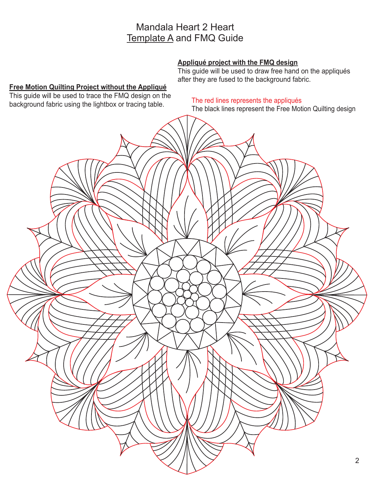### Mandala Heart 2 Heart Template A and FMQ Guide

### **Appliqué project with the FMQ design**

This guide will be used to draw free hand on the appliqués after they are fused to the background fabric.

### **Free Motion Quilting Project without the Appliqué**

This guide will be used to trace the FMQ design on the background fabric using the lightbox or tracing table.

### The red lines represents the appliqués

The black lines represent the Free Motion Quilting design

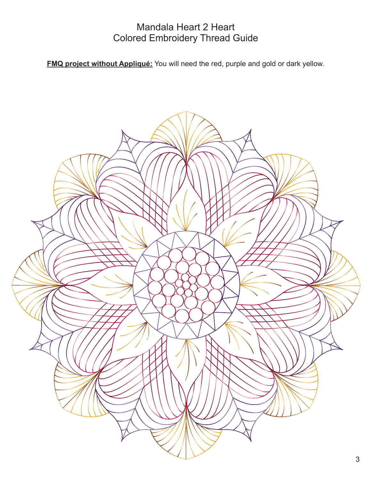### Mandala Heart 2 Heart Colored Embroidery Thread Guide

**FMQ project without Appliqué:** You will need the red, purple and gold or dark yellow.

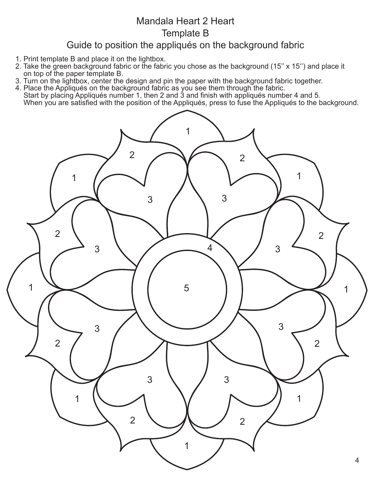# Mandala Heart 2 Heart Template B

## Guide to position the appliqués on the background fabric

- 1. Print template B and place it on the lightbox.
- 2. Take the green background fabric or the fabric you chose as the background (15'' x 15'') and place it on top of the paper template B.
- 3. Turn on the lightbox, center the design and pin the paper with the background fabric together.
- 4. Place the Appliqués on the background fabric as you see them through the fabric.
- Start by placing Appliqués number 1, then 2 and 3 and finish with appliqués number 4 and 5. When you are satisfied with the position of the Appliqués, press to fuse the Appliqués to the background.

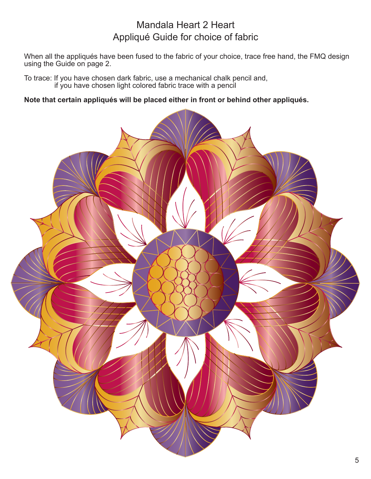# Mandala Heart 2 Heart Appliqué Guide for choice of fabric

When all the appliqués have been fused to the fabric of your choice, trace free hand, the FMQ design using the Guide on page 2.

To trace: If you have chosen dark fabric, use a mechanical chalk pencil and, if you have chosen light colored fabric trace with a pencil

**Note that certain appliqués will be placed either in front or behind other appliqués.**